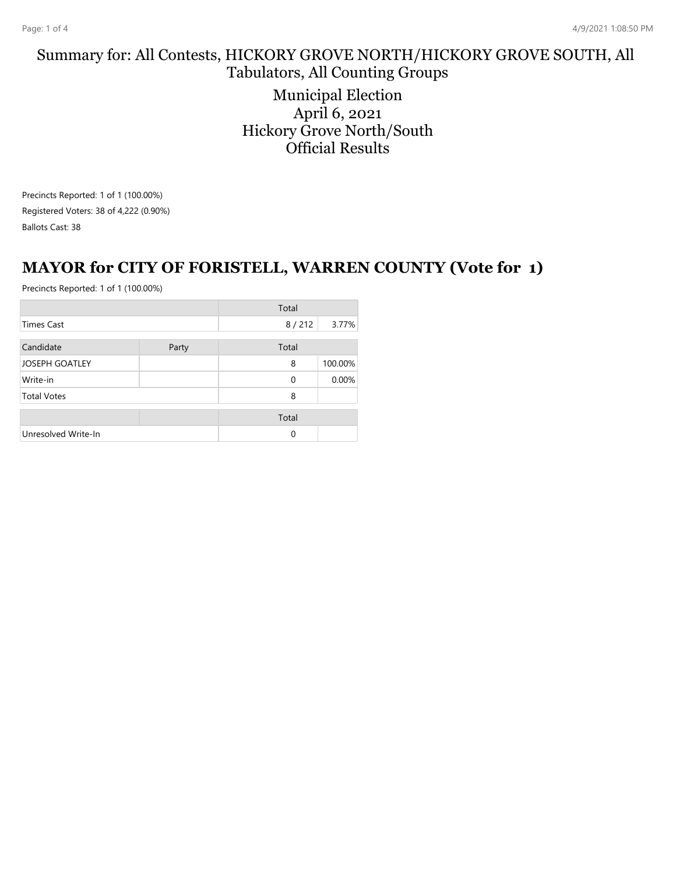# Summary for: All Contests, HICKORY GROVE NORTH/HICKORY GROVE SOUTH, All Tabulators, All Counting Groups

Municipal Election April 6, 2021 Hickory Grove North/South Official Results

Precincts Reported: 1 of 1 (100.00%) Registered Voters: 38 of 4,222 (0.90%) Ballots Cast: 38

#### **MAYOR for CITY OF FORISTELL, WARREN COUNTY (Vote for 1)**

|                     |       | Total    |         |
|---------------------|-------|----------|---------|
| Times Cast          |       | 8/212    | 3.77%   |
| Candidate           | Party | Total    |         |
| JOSEPH GOATLEY      |       | 8        | 100.00% |
| Write-in            |       | $\Omega$ | 0.00%   |
| <b>Total Votes</b>  |       | 8        |         |
|                     |       | Total    |         |
| Unresolved Write-In |       | $\Omega$ |         |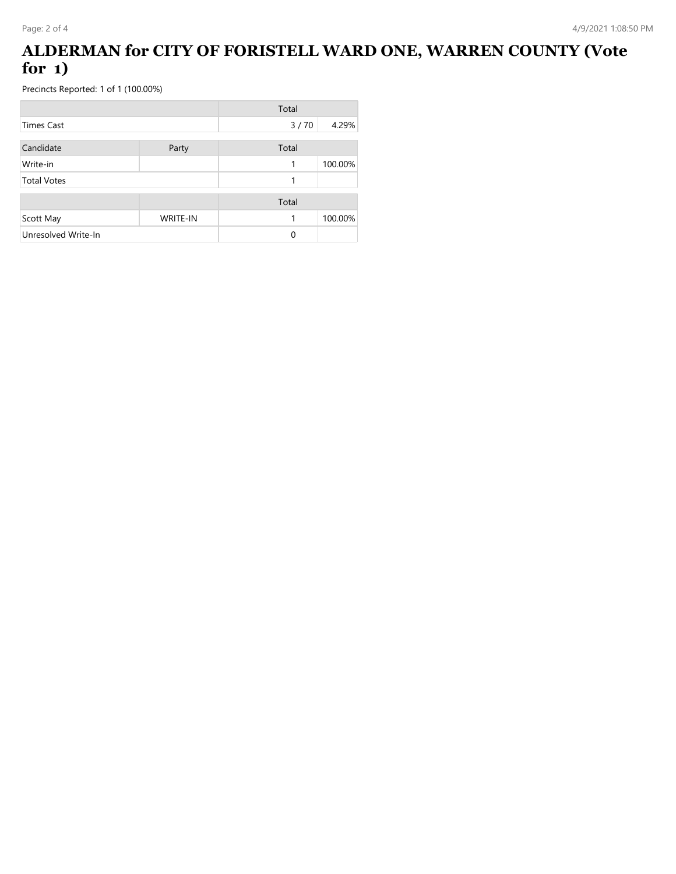## **ALDERMAN for CITY OF FORISTELL WARD ONE, WARREN COUNTY (Vote for 1)**

|                     |                 | Total |         |
|---------------------|-----------------|-------|---------|
| <b>Times Cast</b>   |                 | 3/70  | 4.29%   |
| Candidate           | Party           | Total |         |
| Write-in            |                 | 1     | 100.00% |
| <b>Total Votes</b>  |                 | 1     |         |
|                     |                 | Total |         |
| Scott May           | <b>WRITE-IN</b> | 1     | 100.00% |
| Unresolved Write-In |                 | 0     |         |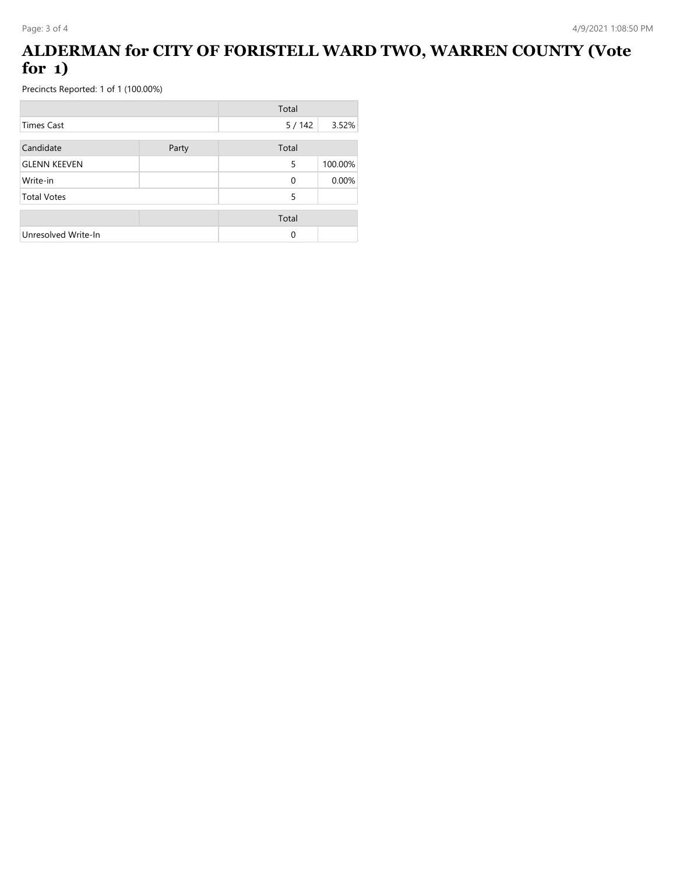## **ALDERMAN for CITY OF FORISTELL WARD TWO, WARREN COUNTY (Vote for 1)**

|                     |       | Total    |         |
|---------------------|-------|----------|---------|
| Times Cast          |       | 5/142    | 3.52%   |
| Candidate           | Party | Total    |         |
| <b>GLENN KEEVEN</b> |       | 5        | 100.00% |
| Write-in            |       | $\Omega$ | 0.00%   |
| <b>Total Votes</b>  |       | 5        |         |
|                     |       | Total    |         |
| Unresolved Write-In |       | 0        |         |